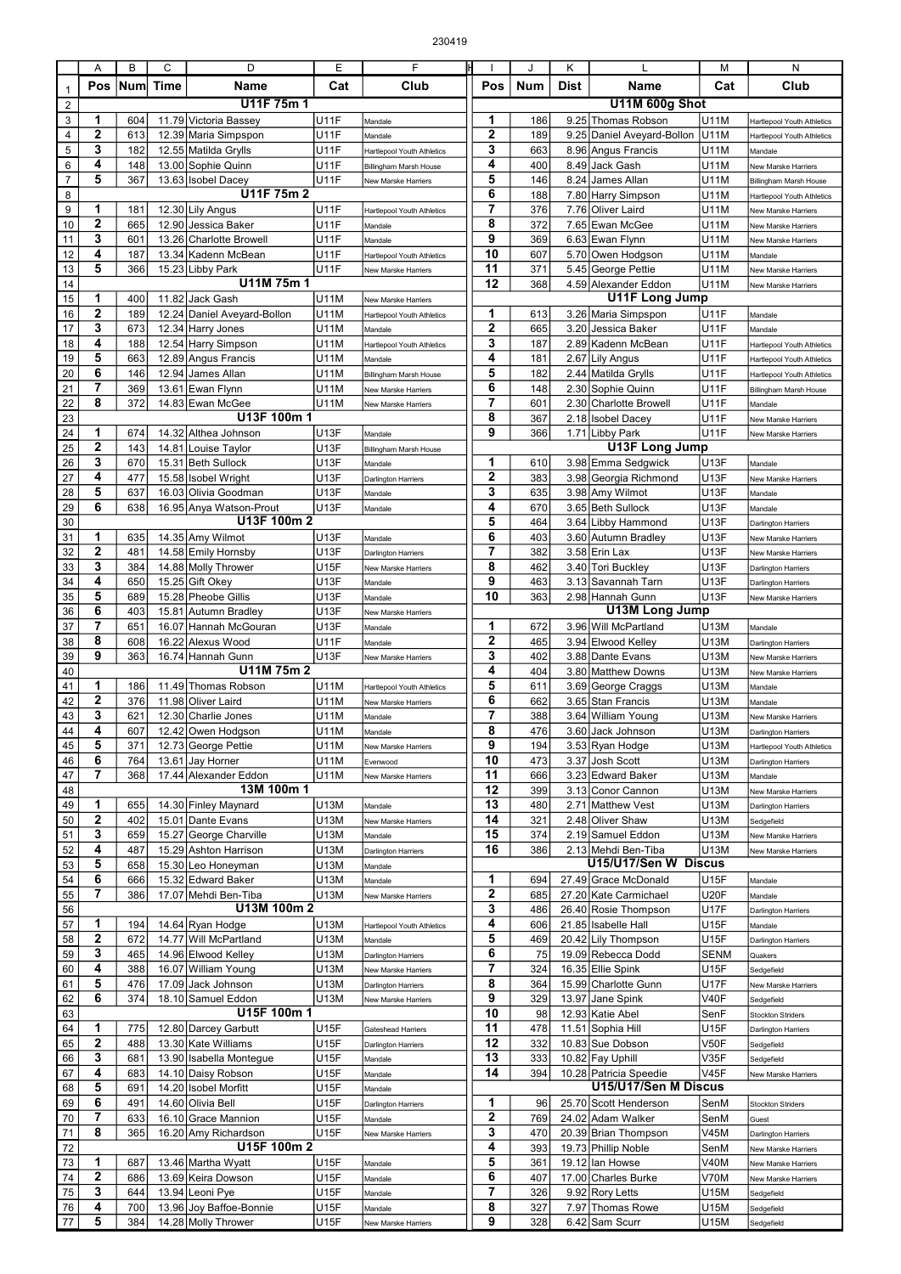|                  | Α                | В          | C    | D                                | Ε           | F                          | IН                  | J   | Κ           |                            | М                 | N                                 |
|------------------|------------------|------------|------|----------------------------------|-------------|----------------------------|---------------------|-----|-------------|----------------------------|-------------------|-----------------------------------|
|                  | <b>Pos</b>       | <b>Num</b> | Time | Name                             | Cat         | Club                       | Pos                 | Num | <b>Dist</b> | Name                       | Cat               | Club                              |
| $\mathbf{1}$     |                  |            |      | U11F 75m 1                       |             |                            |                     |     |             | <b>U11M 600g Shot</b>      |                   |                                   |
| $\sqrt{2}$       |                  |            |      |                                  |             |                            |                     |     |             |                            |                   |                                   |
| 3                | 1                | 604        |      | 11.79 Victoria Bassey            | <b>U11F</b> | Mandale                    | 1                   | 186 |             | 9.25 Thomas Robson         | U11M              | Hartlepool Youth Athletics        |
| 4                | 2                | 613        |      | 12.39 Maria Simpspon             | <b>U11F</b> | Mandale                    | $\overline{2}$<br>3 | 189 |             | 9.25 Daniel Aveyard-Bollon | U11M              | <b>Hartlepool Youth Athletics</b> |
| 5                | 3                | 182        |      | 12.55 Matilda Grylls             | <b>U11F</b> | Hartlepool Youth Athletics |                     | 663 |             | 8.96 Angus Francis         | U11M              | Mandale                           |
| $\,6$            | 4                | 148        |      | 13.00 Sophie Quinn               | <b>U11F</b> | Billingham Marsh House     | 4                   | 400 |             | 8.49 Jack Gash             | U11M              | New Marske Harriers               |
| $\overline{7}$   | 5                | 367        |      | 13.63 Isobel Dacey<br>U11F 75m 2 | <b>U11F</b> | New Marske Harriers        | 5                   | 146 |             | 8.24 James Allan           | U11M              | <b>Billingham Marsh House</b>     |
| 8                |                  |            |      |                                  |             |                            | 6<br>$\overline{7}$ | 188 |             | 7.80 Harry Simpson         | U11M              | Hartlepool Youth Athletics        |
| $\boldsymbol{9}$ | 1                | 181        |      | 12.30 Lily Angus                 | <b>U11F</b> | Hartlepool Youth Athletics |                     | 376 |             | 7.76 Oliver Laird          | U11M              | New Marske Harriers               |
| 10               | 2                | 665        |      | 12.90 Jessica Baker              | <b>U11F</b> | Mandale                    | 8                   | 372 |             | 7.65 Ewan McGee            | U11M              | New Marske Harriers               |
| 11               | 3                | 601        |      | 13.26 Charlotte Browell          | <b>U11F</b> | Mandale                    | 9                   | 369 |             | 6.63 Ewan Flynn            | U11M              | New Marske Harriers               |
| 12               | 4                | 187        |      | 13.34 Kadenn McBean              | <b>U11F</b> | Hartlepool Youth Athletics | 10                  | 607 |             | 5.70 Owen Hodgson          | U11M              | Mandale                           |
| 13               | 5                | 366        |      | 15.23 Libby Park                 | <b>U11F</b> | New Marske Harriers        | 11                  | 371 |             | 5.45 George Pettie         | <b>U11M</b>       | New Marske Harriers               |
| 14               |                  |            |      | U11M 75m 1                       |             |                            | 12                  | 368 |             | 4.59 Alexander Eddon       | U11M              | New Marske Harriers               |
| 15               | 1                | 400        |      | 11.82 Jack Gash                  | U11M        | New Marske Harriers        |                     |     |             | <b>U11F Long Jump</b>      |                   |                                   |
| 16               | 2                | 189        |      | 12.24 Daniel Aveyard-Bollon      | U11M        | Hartlepool Youth Athletics | 1                   | 613 |             | 3.26 Maria Simpspon        | <b>U11F</b>       | Mandale                           |
| 17               | 3                | 673        |      | 12.34 Harry Jones                | U11M        | Mandale                    | $\overline{2}$      | 665 |             | 3.20 Jessica Baker         | <b>U11F</b>       | Mandale                           |
| 18               | 4                | 188        |      | 12.54 Harry Simpson              | U11M        | Hartlepool Youth Athletics | 3                   | 187 |             | 2.89 Kadenn McBean         | <b>U11F</b>       | <b>Hartlepool Youth Athletics</b> |
| 19               | 5                | 663        |      | 12.89 Angus Francis              | U11M        | Mandale                    | 4                   | 181 |             | 2.67 Lily Angus            | <b>U11F</b>       | Hartlepool Youth Athletics        |
| 20               | 6                | 146        |      | 12.94 James Allan                | U11M        | Billingham Marsh House     | 5                   | 182 |             | 2.44 Matilda Grylls        | <b>U11F</b>       | Hartlepool Youth Athletics        |
| 21               | 7                | 369        |      | 13.61 Ewan Flynn                 | U11M        | <b>New Marske Harriers</b> | 6                   | 148 |             | 2.30 Sophie Quinn          | <b>U11F</b>       | <b>Billingham Marsh House</b>     |
| 22               | 8                | 372        |      | 14.83 Ewan McGee                 | U11M        | New Marske Harriers        | $\overline{7}$      | 601 |             | 2.30 Charlotte Browell     | <b>U11F</b>       | Mandale                           |
| 23               |                  |            |      | U13F 100m 1                      |             |                            | 8                   | 367 |             | 2.18 Isobel Dacey          | <b>U11F</b>       | New Marske Harriers               |
| 24               | 1                | 674        |      | 14.32 Althea Johnson             | U13F        | Mandale                    | 9                   | 366 |             | 1.71 Libby Park            | U <sub>11</sub> F | New Marske Harriers               |
| 25               | 2                | 143        |      | 14.81 Louise Taylor              | <b>U13F</b> | Billingham Marsh House     |                     |     |             | U13F Long Jump             |                   |                                   |
| 26               | 3                | 670        |      | 15.31 Beth Sullock               | <b>U13F</b> | Mandale                    | 1                   | 610 |             | 3.98 Emma Sedgwick         | <b>U13F</b>       | Mandale                           |
| 27               | 4                | 477        |      | 15.58 Isobel Wright              | <b>U13F</b> | <b>Darlington Harriers</b> | $\mathbf{2}$        | 383 |             | 3.98 Georgia Richmond      | <b>U13F</b>       | New Marske Harriers               |
| 28               | 5                | 637        |      | 16.03 Olivia Goodman             | <b>U13F</b> | Mandale                    | 3                   | 635 |             | 3.98 Amy Wilmot            | U13F              | Mandale                           |
| 29               | 6                | 638        |      | 16.95 Anya Watson-Prout          | <b>U13F</b> | Mandale                    | 4                   | 670 |             | 3.65 Beth Sullock          | U <sub>13F</sub>  | Mandale                           |
| 30               |                  |            |      | U13F 100m 2                      |             |                            | 5                   | 464 |             | 3.64 Libby Hammond         | <b>U13F</b>       | Darlington Harriers               |
| 31               | 1                | 635        |      | 14.35 Amy Wilmot                 | <b>U13F</b> |                            | 6                   | 403 |             | 3.60 Autumn Bradley        | U <sub>13F</sub>  |                                   |
| 32               | $\mathbf 2$      | 481        |      |                                  |             | Mandale                    | 7                   | 382 |             |                            | <b>U13F</b>       | New Marske Harriers               |
|                  | 3                |            |      | 14.58 Emily Hornsby              | U13F        | <b>Darlington Harriers</b> | 8                   |     |             | 3.58 Erin Lax              |                   | New Marske Harriers               |
| 33               | 4                | 384        |      | 14.88 Molly Thrower              | <b>U15F</b> | New Marske Harriers        | 9                   | 462 |             | 3.40 Tori Buckley          | <b>U13F</b>       | <b>Darlington Harriers</b>        |
| 34               |                  | 650        |      | 15.25 Gift Okey                  | U13F        | Mandale                    |                     | 463 |             | 3.13 Savannah Tarn         | U13F              | Darlington Harriers               |
| 35               | 5                | 689        |      | 15.28 Pheobe Gillis              | U13F        | Mandale                    | 10                  | 363 |             | 2.98 Hannah Gunn           | <b>U13F</b>       | New Marske Harriers               |
| 36               | 6                | 403        |      | 15.81 Autumn Bradley             | <b>U13F</b> | New Marske Harriers        |                     |     |             | U13M Long Jump             |                   |                                   |
| 37               | $\overline{7}$   | 651        |      | 16.07 Hannah McGouran            | <b>U13F</b> | Mandale                    | 1                   | 672 |             | 3.96 Will McPartland       | U13M              | Mandale                           |
| 38               | 8                | 608        |      | 16.22 Alexus Wood                | <b>U11F</b> | Mandale                    | $\overline{2}$      | 465 |             | 3.94 Elwood Kelley         | U13M              | Darlington Harriers               |
| 39               | 9                | 363        |      | 16.74 Hannah Gunn                | <b>U13F</b> | New Marske Harriers        | 3                   | 402 |             | 3.88 Dante Evans           | U13M              | New Marske Harriers               |
| 40               |                  |            |      | U11M 75m 2                       |             |                            | 4                   | 404 |             | 3.80 Matthew Downs         | U13M              | New Marske Harriers               |
| 41               | 1                | 186        |      | 11.49 Thomas Robson              | U11M        | Hartlepool Youth Athletics | 5                   | 611 |             | 3.69 George Craggs         | U13M              | Mandale                           |
| 42               | $\mathbf 2$      | 376        |      | 11.98 Oliver Laird               | U11M        | New Marske Harriers        | 6                   | 662 |             | 3.65 Stan Francis          | U13M              | Mandale                           |
| 43               | 3                | 621        |      | 12.30 Charlie Jones              | U11M        | Mandale                    | 7                   | 388 |             | 3.64 William Young         | U13M              | New Marske Harriers               |
| 44               | 4                | 607        |      | 12.42 Owen Hodgson               | <b>U11M</b> | Mandale                    | 8                   | 476 |             | 3.60 Jack Johnson          | U13M              | <b>Darlington Harriers</b>        |
| 45               | 5                | 371        |      | 12.73 George Pettie              | U11M        | New Marske Harriers        | 9                   | 194 |             | 3.53 Ryan Hodge            | U13M              | Hartlepool Youth Athletics        |
| 46               | 6                | 764        |      | 13.61 Jay Horner                 | U11M        | Evenwood                   | 10                  | 473 |             | 3.37 Josh Scott            | U13M              | <b>Darlington Harriers</b>        |
| 47               | 7                | 368        |      | 17.44 Alexander Eddon            | U11M        | New Marske Harriers        | 11                  | 666 |             | 3.23 Edward Baker          | U13M              | Mandale                           |
| 48               |                  |            |      | 13M 100m 1                       |             |                            | 12                  | 399 |             | 3.13 Conor Cannon          | U13M              | New Marske Harriers               |
| 49               | 1                | 655        |      | 14.30 Finley Maynard             | U13M        | Mandale                    | 13                  | 480 |             | 2.71 Matthew Vest          | U13M              | Darlington Harriers               |
| 50               | 2                | 402        |      | 15.01 Dante Evans                | U13M        | New Marske Harriers        | 14                  | 321 |             | 2.48 Oliver Shaw           | U13M              | Sedgefield                        |
| 51               | 3                | 659        |      | 15.27 George Charville           | U13M        | Mandale                    | 15                  | 374 |             | 2.19 Samuel Eddon          | U13M              | New Marske Harriers               |
| 52               | 4                | 487        |      | 15.29 Ashton Harrison            | U13M        | Darlington Harriers        | 16                  | 386 |             | 2.13 Mehdi Ben-Tiba        | U13M              | New Marske Harriers               |
| 53               | 5                | 658        |      | 15.30 Leo Honeyman               | U13M        | Mandale                    |                     |     |             | U15/U17/Sen W Discus       |                   |                                   |
| 54               | 6                | 666        |      | 15.32 Edward Baker               | U13M        | Mandale                    | 1                   | 694 |             | 27.49 Grace McDonald       | <b>U15F</b>       | Mandale                           |
| 55               | 7                | 386        |      | 17.07 Mehdi Ben-Tiba             | <b>U13M</b> | New Marske Harriers        | 2                   | 685 |             | 27.20 Kate Carmichael      | <b>U20F</b>       | Mandale                           |
| 56               |                  |            |      | U13M 100m 2                      |             |                            | 3                   | 486 |             | 26.40 Rosie Thompson       | <b>U17F</b>       | Darlington Harriers               |
| 57               | 1                | 194        |      | 14.64 Ryan Hodge                 | U13M        | Hartlepool Youth Athletics | 4                   | 606 |             | 21.85 Isabelle Hall        | U15F              | Mandale                           |
| 58               | 2                | 672        |      | 14.77 Will McPartland            | U13M        | Mandale                    | 5                   | 469 |             | 20.42 Lily Thompson        | U15F              | <b>Darlington Harriers</b>        |
| 59               | 3                | 465        |      | 14.96 Elwood Kelley              | U13M        | Darlington Harriers        | 6                   | 75  |             | 19.09 Rebecca Dodd         | <b>SENM</b>       | Quakers                           |
| 60               | 4                | 388        |      | 16.07 William Young              | U13M        | New Marske Harriers        | 7                   | 324 |             | 16.35 Ellie Spink          | <b>U15F</b>       | Sedgefield                        |
| 61               | 5                | 476        |      | 17.09 Jack Johnson               | U13M        | Darlington Harriers        | 8                   | 364 |             | 15.99 Charlotte Gunn       | <b>U17F</b>       | New Marske Harriers               |
| 62               | 6                | 374        |      | 18.10 Samuel Eddon               | U13M        | New Marske Harriers        | 9                   | 329 |             | 13.97 Jane Spink           | V40F              | Sedgefield                        |
| 63               |                  |            |      | U15F 100m 1                      |             |                            | 10                  | 98  |             | 12.93 Katie Abel           | SenF              | <b>Stockton Striders</b>          |
| 64               | 1                | 775        |      | 12.80 Darcey Garbutt             | U15F        | Gateshead Harriers         | 11                  | 478 |             | 11.51 Sophia Hill          | U15F              | Darlington Harriers               |
| 65               | $\boldsymbol{2}$ | 488        |      | 13.30 Kate Williams              | <b>U15F</b> | Darlington Harriers        | 12                  | 332 |             | 10.83 Sue Dobson           | V50F              | Sedgefield                        |
| 66               | 3                | 681        |      | 13.90 Isabella Montegue          | <b>U15F</b> | Mandale                    | 13                  | 333 |             | 10.82 Fay Uphill           | V35F              | Sedgefield                        |
| 67               | 4                | 683        |      | 14.10 Daisy Robson               | U15F        | Mandale                    | 14                  | 394 |             | 10.28 Patricia Speedie     | <b>V45F</b>       | New Marske Harriers               |
| 68               | 5                | 691        |      | 14.20 Isobel Morfitt             | U15F        | Mandale                    |                     |     |             | U15/U17/Sen M Discus       |                   |                                   |
| 69               | 6                | 491        |      | 14.60 Olivia Bell                | U15F        | Darlington Harriers        | 1                   | 96  |             | 25.70 Scott Henderson      | SenM              | <b>Stockton Striders</b>          |
| 70               | 7                | 633        |      | 16.10 Grace Mannion              | <b>U15F</b> | Mandale                    | 2                   | 769 |             | 24.02 Adam Walker          | SenM              | Guest                             |
| 71               | 8                | 365        |      | 16.20 Amy Richardson             | <b>U15F</b> |                            | 3                   | 470 |             | 20.39 Brian Thompson       | <b>V45M</b>       |                                   |
|                  |                  |            |      | U15F 100m 2                      |             | New Marske Harriers        | 4                   |     |             |                            |                   | Darlington Harriers               |
| 72               | 1                |            |      |                                  |             |                            | 5                   | 393 |             | 19.73 Phillip Noble        | SenM              | New Marske Harriers               |
| 73               |                  | 687        |      | 13.46 Martha Wyatt               | U15F        | Mandale                    |                     | 361 |             | 19.12 lan Howse            | <b>V40M</b>       | New Marske Harriers               |
| 74               | 2                | 686        |      | 13.69 Keira Dowson               | <b>U15F</b> | Mandale                    | 6                   | 407 |             | 17.00 Charles Burke        | V70M              | New Marske Harriers               |
| 75               | 3                | 644        |      | 13.94 Leoni Pye                  | U15F        | Mandale                    | 7                   | 326 |             | 9.92 Rory Letts            | U15M              | Sedgefield                        |
| 76               | 4                | 700        |      | 13.96 Joy Baffoe-Bonnie          | <b>U15F</b> | Mandale                    | 8                   | 327 |             | 7.97 Thomas Rowe           | U15M              | Sedgefield                        |
| 77               | 5                | 384        |      | 14.28 Molly Thrower              | U15F        | New Marske Harriers        | 9                   | 328 |             | 6.42 Sam Scurr             | U15M              | Sedgefield                        |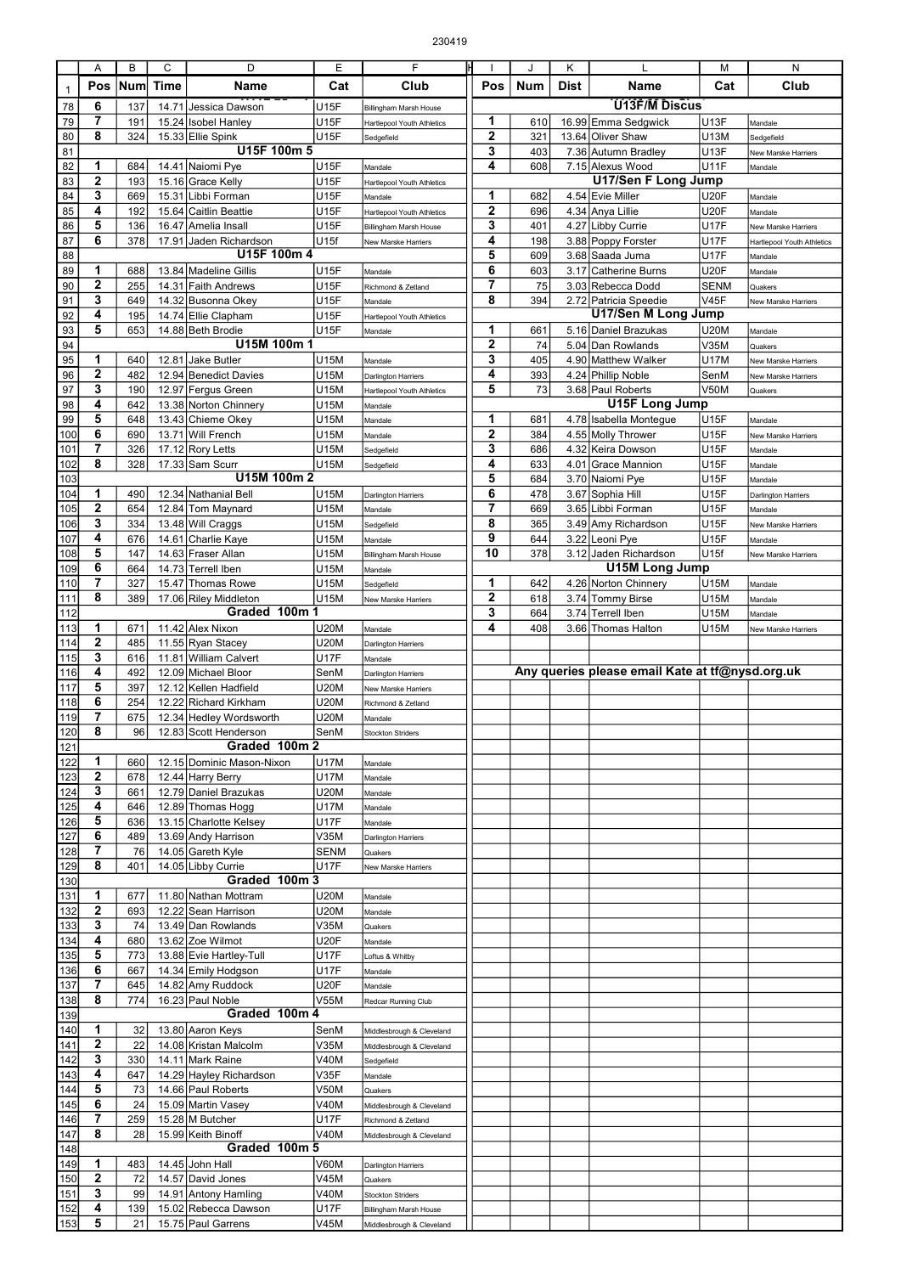|              | Α              | B   | C     | D                              | Ε           | F                          |                | J          | Κ    |                                                 | М           | N                                 |
|--------------|----------------|-----|-------|--------------------------------|-------------|----------------------------|----------------|------------|------|-------------------------------------------------|-------------|-----------------------------------|
|              | Pos            | Num | Time  | Name                           | Cat         | Club                       | Pos            | <b>Num</b> | Dist | Name                                            | Cat         | Club                              |
| $\mathbf{1}$ |                |     |       |                                |             |                            |                |            |      |                                                 |             |                                   |
| 78           | 6              | 137 | 14.71 | Jessica Dawson                 | U15F        | Billingham Marsh House     |                |            |      | U13F/M Discus                                   |             |                                   |
| 79           | 7              | 191 |       | 15.24 Isobel Hanley            | <b>U15F</b> | Hartlepool Youth Athletics | 1              | 610        |      | 16.99 Emma Sedgwick                             | <b>U13F</b> | Mandale                           |
| 80           | 8              | 324 |       | 15.33 Ellie Spink              | <b>U15F</b> | Sedgefield                 | $\overline{2}$ | 321        |      | 13.64 Oliver Shaw                               | U13M        | Sedgefield                        |
| 81           |                |     |       | U15F 100m 5                    |             |                            | 3              | 403        |      | 7.36 Autumn Bradley                             | <b>U13F</b> | New Marske Harriers               |
| 82           | 1              | 684 |       | 14.41 Naiomi Pye               | U15F        | Mandale                    | 4              | 608        |      | 7.15 Alexus Wood                                | <b>U11F</b> | Mandale                           |
| 83           | $\overline{2}$ | 193 |       | 15.16 Grace Kelly              | <b>U15F</b> | Hartlepool Youth Athletics |                |            |      | U17/Sen F Long Jump                             |             |                                   |
| 84           | 3              | 669 |       | 15.31 Libbi Forman             | <b>U15F</b> | Mandale                    | 1              | 682        |      | 4.54 Evie Miller                                | <b>U20F</b> | Mandale                           |
| 85           | 4              | 192 |       | 15.64 Caitlin Beattie          | U15F        | Hartlepool Youth Athletics | $\overline{2}$ | 696        |      | 4.34 Anya Lillie                                | <b>U20F</b> | Mandale                           |
| 86           | 5              | 136 |       | 16.47 Amelia Insall            | U15F        | Billingham Marsh House     | 3              | 401        |      | 4.27 Libby Currie                               | <b>U17F</b> | New Marske Harriers               |
| 87           | 6              | 378 |       | 17.91 Jaden Richardson         | U15f        | New Marske Harriers        | 4              | 198        |      | 3.88 Poppy Forster                              | <b>U17F</b> | <b>Hartlepool Youth Athletics</b> |
| 88           |                |     |       | U15F 100m 4                    |             |                            | 5              | 609        |      | 3.68 Saada Juma                                 | <b>U17F</b> | Mandale                           |
| 89           | 1              | 688 |       | 13.84 Madeline Gillis          | U15F        | Mandale                    | 6              | 603        |      | 3.17 Catherine Burns                            | <b>U20F</b> | Mandale                           |
| 90           | $\mathbf{2}$   | 255 |       | 14.31 Faith Andrews            | <b>U15F</b> | Richmond & Zetland         | 7              | 75         |      | 3.03 Rebecca Dodd                               | <b>SENM</b> | Quakers                           |
| 91           | 3              | 649 |       | 14.32 Busonna Okey             | U15F        | Mandale                    | 8              | 394        |      | 2.72 Patricia Speedie                           | <b>V45F</b> | New Marske Harriers               |
| 92           | 4              | 195 |       | 14.74 Ellie Clapham            | U15F        | Hartlepool Youth Athletics |                |            |      | U17/Sen M Long Jump                             |             |                                   |
| 93           | 5              | 653 |       | 14.88 Beth Brodie              | <b>U15F</b> | Mandale                    | 1              | 661        |      | 5.16 Daniel Brazukas                            | <b>U20M</b> | Mandale                           |
| 94           |                |     |       | U15M 100m 1                    |             |                            | $\overline{2}$ | 74         |      | 5.04 Dan Rowlands                               | V35M        | Quakers                           |
| 95           | 1              | 640 | 12.81 | <b>Jake Butler</b>             | U15M        | Mandale                    | 3              | 405        |      | 4.90 Matthew Walker                             | <b>U17M</b> | New Marske Harriers               |
| 96           | $\mathbf{2}$   | 482 |       | 12.94 Benedict Davies          | U15M        | Darlington Harriers        | 4              | 393        |      | 4.24 Phillip Noble                              | SenM        | New Marske Harriers               |
| 97           | 3              | 190 |       | 12.97 Fergus Green             | U15M        | Hartlepool Youth Athletics | 5              | 73         |      | 3.68 Paul Roberts                               | <b>V50M</b> | Quakers                           |
| 98           | 4              | 642 |       | 13.38 Norton Chinnery          | U15M        | Mandale                    |                |            |      | U15F Long Jump                                  |             |                                   |
| 99           | 5              | 648 |       | 13.43 Chieme Okey              | U15M        |                            | 1              | 681        |      | 4.78 Isabella Montegue                          | <b>U15F</b> |                                   |
| 100          | 6              | 690 |       | 13.71 Will French              | U15M        | Mandale                    | $\mathbf{2}$   | 384        |      | 4.55 Molly Thrower                              | U15F        | Mandale                           |
| 101          | $\overline{7}$ | 326 |       | 17.12 Rory Letts               | U15M        | Mandale                    | 3              | 686        |      | 4.32 Keira Dowson                               | U15F        | New Marske Harriers               |
|              | 8              |     |       |                                |             | Sedgefield                 | 4              |            |      |                                                 |             | Mandale                           |
| 102          |                | 328 |       | 17.33 Sam Scurr<br>U15M 100m 2 | U15M        | Sedgefield                 | 5              | 633        |      | 4.01 Grace Mannion                              | U15F        | Mandale                           |
| 103          |                |     |       |                                |             |                            |                | 684        |      | 3.70 Naiomi Pye                                 | U15F        | Mandale                           |
| 104          | 1              | 490 |       | 12.34 Nathanial Bell           | U15M        | Darlington Harriers        | 6              | 478        |      | 3.67 Sophia Hill                                | U15F        | <b>Darlington Harriers</b>        |
| 105          | $\overline{2}$ | 654 |       | 12.84 Tom Maynard              | U15M        | Mandale                    | $\overline{7}$ | 669        |      | 3.65 Libbi Forman                               | U15F        | Mandale                           |
| 106          | 3              | 334 |       | 13.48 Will Craggs              | U15M        | Sedgefield                 | 8              | 365        |      | 3.49 Amy Richardson                             | <b>U15F</b> | New Marske Harriers               |
| 107          | 4              | 676 |       | 14.61 Charlie Kaye             | U15M        | Mandale                    | 9              | 644        |      | 3.22 Leoni Pye                                  | <b>U15F</b> | Mandale                           |
| 108          | 5              | 147 |       | 14.63 Fraser Allan             | U15M        | Billingham Marsh House     | 10             | 378        |      | 3.12 Jaden Richardson                           | U15f        | New Marske Harriers               |
| 109          | 6              | 664 |       | 14.73 Terrell Iben             | U15M        | Mandale                    |                |            |      | <b>U15M Long Jump</b>                           |             |                                   |
| 110          | 7              | 327 |       | 15.47 Thomas Rowe              | U15M        | Sedgefield                 | 1              | 642        |      | 4.26 Norton Chinnery                            | U15M        | Mandale                           |
| 111          | 8              | 389 |       | 17.06 Riley Middleton          | U15M        | New Marske Harriers        | $\mathbf{2}$   | 618        |      | 3.74 Tommy Birse                                | U15M        | Mandale                           |
| 112          |                |     |       | Graded 100m 1                  |             |                            | 3              | 664        |      | 3.74 Terrell Iben                               | U15M        | Mandale                           |
| 113          | 1              | 671 |       | 11.42 Alex Nixon               | <b>U20M</b> | Mandale                    | 4              | 408        |      | 3.66 Thomas Halton                              | U15M        | New Marske Harriers               |
| 114          | $\mathbf{2}$   | 485 |       | 11.55 Ryan Stacey              | <b>U20M</b> | <b>Darlington Harriers</b> |                |            |      |                                                 |             |                                   |
| 115          | 3              | 616 |       | 11.81 William Calvert          | <b>U17F</b> | Mandale                    |                |            |      |                                                 |             |                                   |
| 116          | 4              | 492 |       | 12.09 Michael Bloor            | SenM        | Darlington Harriers        |                |            |      | Any queries please email Kate at tf@nysd.org.uk |             |                                   |
| 117          | 5              | 397 |       | 12.12 Kellen Hadfield          | U20M        | New Marske Harriers        |                |            |      |                                                 |             |                                   |
| 118          | 6              | 254 |       | 12.22 Richard Kirkham          | <b>U20M</b> | Richmond & Zetland         |                |            |      |                                                 |             |                                   |
| 119          | 7              | 675 |       | 12.34 Hedley Wordsworth        | U20M        | Mandale                    |                |            |      |                                                 |             |                                   |
| 120          | 8              | 96  |       | 12.83 Scott Henderson          | SenM        | <b>Stockton Striders</b>   |                |            |      |                                                 |             |                                   |
| 121          |                |     |       | Graded 100m 2                  |             |                            |                |            |      |                                                 |             |                                   |
| 122          | 1              | 660 |       | 12.15 Dominic Mason-Nixon      | <b>U17M</b> | Mandale                    |                |            |      |                                                 |             |                                   |
| 123          | $\mathbf 2$    | 678 |       | 12.44 Harry Berry              | <b>U17M</b> | Mandale                    |                |            |      |                                                 |             |                                   |
| 124          | 3              | 661 |       | 12.79 Daniel Brazukas          | <b>U20M</b> | Mandale                    |                |            |      |                                                 |             |                                   |
| 125          | 4              | 646 |       | 12.89 Thomas Hogg              | <b>U17M</b> | Mandale                    |                |            |      |                                                 |             |                                   |
| 126          | 5              | 636 |       | 13.15 Charlotte Kelsey         | U17F        | Mandale                    |                |            |      |                                                 |             |                                   |
| 127          | 6              | 489 |       | 13.69 Andy Harrison            | V35M        | Darlington Harriers        |                |            |      |                                                 |             |                                   |
| 128          | 7              | 76  |       | 14.05 Gareth Kyle              | <b>SENM</b> | Quakers                    |                |            |      |                                                 |             |                                   |
| 129          | 8              | 401 |       | 14.05 Libby Currie             | <b>U17F</b> | New Marske Harriers        |                |            |      |                                                 |             |                                   |
| 130          |                |     |       | Graded 100m 3                  |             |                            |                |            |      |                                                 |             |                                   |
| 131          | 1              | 677 |       | 11.80 Nathan Mottram           | <b>U20M</b> | Mandale                    |                |            |      |                                                 |             |                                   |
| 132          | $\mathbf 2$    | 693 |       | 12.22 Sean Harrison            | <b>U20M</b> | Mandale                    |                |            |      |                                                 |             |                                   |
| 133          | 3              | 74  |       | 13.49 Dan Rowlands             | V35M        | Quakers                    |                |            |      |                                                 |             |                                   |
| 134          | 4              | 680 |       | 13.62 Zoe Wilmot               | <b>U20F</b> | Mandale                    |                |            |      |                                                 |             |                                   |
| 135          | 5              | 773 |       | 13.88 Evie Hartley-Tull        | <b>U17F</b> | Loftus & Whitby            |                |            |      |                                                 |             |                                   |
| 136          | 6              | 667 |       | 14.34 Emily Hodgson            | <b>U17F</b> | Mandale                    |                |            |      |                                                 |             |                                   |
| 137          | 7              | 645 |       | 14.82 Amy Ruddock              | <b>U20F</b> | Mandale                    |                |            |      |                                                 |             |                                   |
| 138          | 8              | 774 |       | 16.23 Paul Noble               | V55M        | Redcar Running Club        |                |            |      |                                                 |             |                                   |
| 139          |                |     |       | Graded 100m 4                  |             |                            |                |            |      |                                                 |             |                                   |
| 140          | 1              | 32  |       | 13.80 Aaron Keys               | SenM        | Middlesbrough & Cleveland  |                |            |      |                                                 |             |                                   |
| $141$        | $\mathbf 2$    | 22  |       | 14.08 Kristan Malcolm          | V35M        | Middlesbrough & Cleveland  |                |            |      |                                                 |             |                                   |
| 142          | 3              | 330 |       | 14.11 Mark Raine               | V40M        | Sedgefield                 |                |            |      |                                                 |             |                                   |
| 143          | 4              | 647 |       | 14.29 Hayley Richardson        | V35F        | Mandale                    |                |            |      |                                                 |             |                                   |
| 144          | 5              | 73  |       | 14.66 Paul Roberts             | V50M        | Quakers                    |                |            |      |                                                 |             |                                   |
| 145          | 6              | 24  |       | 15.09 Martin Vasey             | <b>V40M</b> | Middlesbrough & Cleveland  |                |            |      |                                                 |             |                                   |
| 146          | 7              | 259 |       | 15.28 M Butcher                | <b>U17F</b> | Richmond & Zetland         |                |            |      |                                                 |             |                                   |
| 147          | 8              | 28  |       | 15.99 Keith Binoff             | <b>V40M</b> | Middlesbrough & Cleveland  |                |            |      |                                                 |             |                                   |
| 148          |                |     |       | Graded 100m 5                  |             |                            |                |            |      |                                                 |             |                                   |
| 149          | 1              | 483 |       | 14.45 John Hall                | V60M        | Darlington Harriers        |                |            |      |                                                 |             |                                   |
| 150          | 2              | 72  |       | 14.57 David Jones              | V45M        | Quakers                    |                |            |      |                                                 |             |                                   |
| 151          | 3              | 99  |       | 14.91 Antony Hamling           | V40M        | Stockton Striders          |                |            |      |                                                 |             |                                   |
| 152          | 4              | 139 |       | 15.02 Rebecca Dawson           | <b>U17F</b> | Billingham Marsh House     |                |            |      |                                                 |             |                                   |
| 153          | 5              | 21  |       | 15.75 Paul Garrens             | V45M        | Middlesbrough & Cleveland  |                |            |      |                                                 |             |                                   |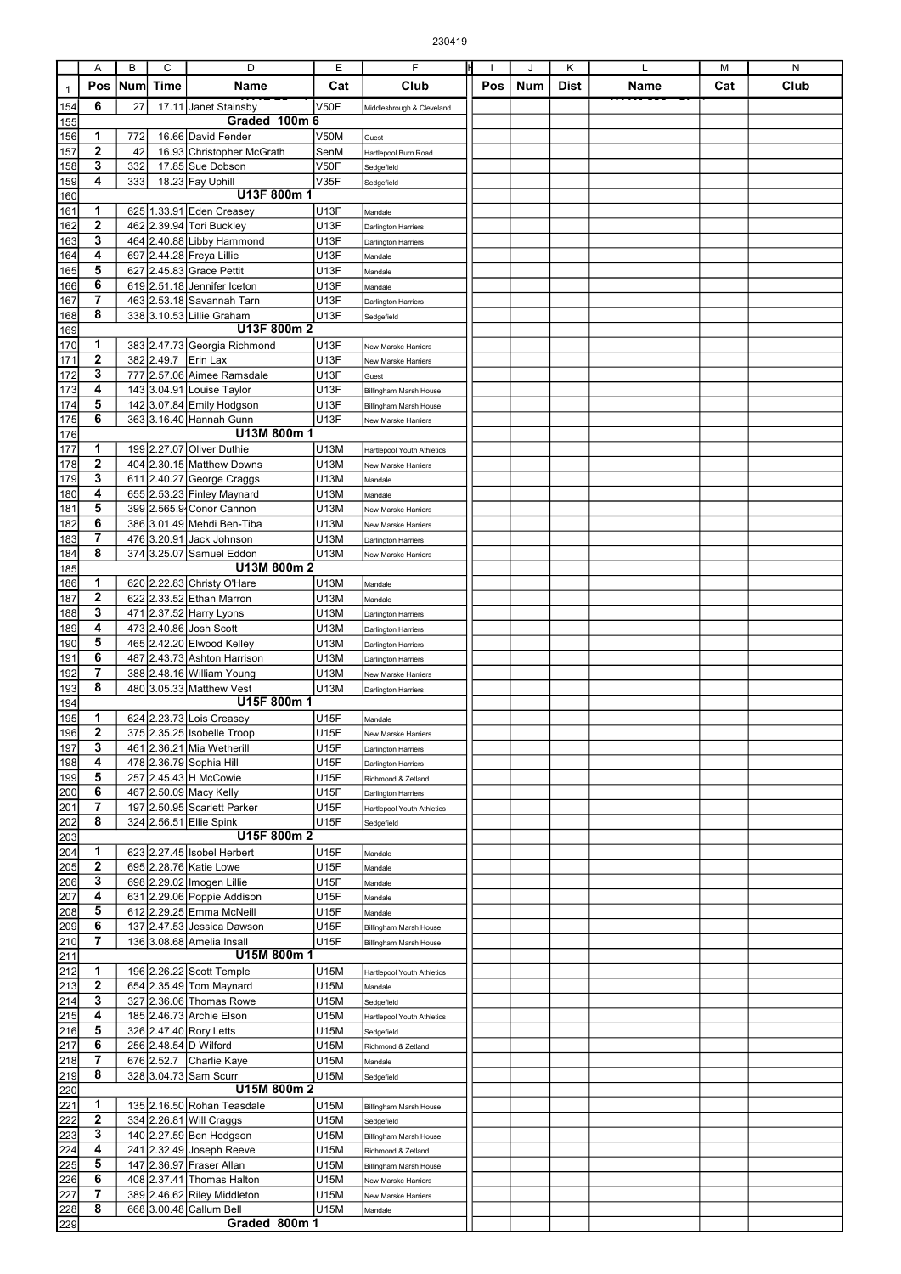|                  | Α                 | В   | C           | D                                                      | Ε                | F                                                 | IН  | J   | Κ           | L    | M   | N    |
|------------------|-------------------|-----|-------------|--------------------------------------------------------|------------------|---------------------------------------------------|-----|-----|-------------|------|-----|------|
|                  | Pos               | Num | <b>Time</b> | Name                                                   | Cat              | Club                                              | Pos | Num | <b>Dist</b> | Name | Cat | Club |
| $\mathbf{1}$     |                   |     |             |                                                        |                  |                                                   |     |     |             |      |     |      |
| 154              | 6                 | 27  |             | 17.11 Janet Stainsby                                   | V50F             | Middlesbrough & Cleveland                         |     |     |             |      |     |      |
| 155              |                   |     |             | Graded 100m 6                                          |                  |                                                   |     |     |             |      |     |      |
| 156              | 1                 | 772 |             | 16.66 David Fender                                     | <b>V50M</b>      | Guest                                             |     |     |             |      |     |      |
| 157              | $\mathbf 2$       | 42  |             | 16.93 Christopher McGrath                              | SenM             | Hartlepool Burn Road                              |     |     |             |      |     |      |
| 158              | 3                 | 332 |             | 17.85 Sue Dobson                                       | <b>V50F</b>      | Sedgefield                                        |     |     |             |      |     |      |
| 159              | 4                 | 333 |             | 18.23 Fay Uphill                                       | V35F             | Sedgefield                                        |     |     |             |      |     |      |
| 160              |                   |     |             | U13F 800m 1                                            |                  |                                                   |     |     |             |      |     |      |
| 161              | 1                 |     |             | 625 1.33.91 Eden Creasey                               | U13F             | Mandale                                           |     |     |             |      |     |      |
| 162              | 2                 |     |             | 462 2.39.94 Tori Buckley                               | <b>U13F</b>      | <b>Darlington Harriers</b>                        |     |     |             |      |     |      |
| 163              | 3                 |     |             | 464 2.40.88 Libby Hammond                              | <b>U13F</b>      | <b>Darlington Harriers</b>                        |     |     |             |      |     |      |
| 164              | 4                 |     |             | 697 2.44.28 Freya Lillie                               | <b>U13F</b>      | Mandale                                           |     |     |             |      |     |      |
| 165              | 5                 |     |             | 627 2.45.83 Grace Pettit                               | U13F             | Mandale                                           |     |     |             |      |     |      |
| 166              | 6                 |     |             | 619 2.51.18 Jennifer Iceton                            | U13F             | Mandale                                           |     |     |             |      |     |      |
| 167              | 7                 |     |             | 463 2.53.18 Savannah Tarn                              | <b>U13F</b>      | Darlington Harriers                               |     |     |             |      |     |      |
| 168              | 8                 |     |             | 338 3.10.53 Lillie Graham                              | <b>U13F</b>      | Sedgefield                                        |     |     |             |      |     |      |
| 169              |                   |     |             | U13F 800m 2                                            |                  |                                                   |     |     |             |      |     |      |
| 170              | 1                 |     |             | 383 2.47.73 Georgia Richmond                           | <b>U13F</b>      | New Marske Harriers                               |     |     |             |      |     |      |
| 171              | $\mathbf 2$       |     |             | 382 2.49.7 Erin Lax                                    | <b>U13F</b>      | New Marske Harriers                               |     |     |             |      |     |      |
| 172              | 3                 |     |             | 777 2.57.06 Aimee Ramsdale                             | U13F             | Guest                                             |     |     |             |      |     |      |
| 173              | 4                 |     |             | 143 3.04.91 Louise Taylor                              | <b>U13F</b>      | Billingham Marsh House                            |     |     |             |      |     |      |
| 174              | 5                 |     |             | 142 3.07.84 Emily Hodgson                              | U13F             | Billingham Marsh House                            |     |     |             |      |     |      |
| 175              | 6                 |     |             | 363 3.16.40 Hannah Gunn<br>U13M 800m 1                 | U13F             | New Marske Harriers                               |     |     |             |      |     |      |
| 176              |                   |     |             |                                                        |                  |                                                   |     |     |             |      |     |      |
| 177              | 1<br>$\mathbf{2}$ |     |             | 199 2.27.07 Oliver Duthie                              | U13M             | <b>Hartlepool Youth Athletics</b>                 |     |     |             |      |     |      |
| 178              |                   |     |             | 404 2.30.15 Matthew Downs                              | U13M             | New Marske Harriers                               |     |     |             |      |     |      |
| 179              | 3<br>4            |     |             | 611 2.40.27 George Craggs                              | U13M             | Mandale                                           |     |     |             |      |     |      |
| 180              | 5                 |     |             | 655 2.53.23 Finley Maynard<br>399 2.565.9 Conor Cannon | U13M<br>U13M     | Mandale                                           |     |     |             |      |     |      |
| <u>181</u>       | 6                 |     |             |                                                        |                  | New Marske Harriers                               |     |     |             |      |     |      |
| 182              | 7                 |     |             | 386 3.01.49 Mehdi Ben-Tiba                             | U13M             | New Marske Harriers                               |     |     |             |      |     |      |
| 183              | 8                 |     |             | 476 3.20.91 Jack Johnson                               | U13M             | <b>Darlington Harriers</b>                        |     |     |             |      |     |      |
| 184              |                   |     |             | 374 3.25.07 Samuel Eddon<br>U13M 800m 2                | U13M             | New Marske Harriers                               |     |     |             |      |     |      |
| 185<br>186       | 1                 |     |             | 620 2.22.83 Christy O'Hare                             |                  |                                                   |     |     |             |      |     |      |
| 187              | 2                 |     |             | 622 2.33.52 Ethan Marron                               | U13M<br>U13M     | Mandale                                           |     |     |             |      |     |      |
| 188              | 3                 |     |             | 471 2.37.52 Harry Lyons                                | U13M             | Mandale                                           |     |     |             |      |     |      |
| 189              | 4                 |     |             | 473 2.40.86 Josh Scott                                 | U13M             | <b>Darlington Harriers</b>                        |     |     |             |      |     |      |
| 190              | 5                 |     |             | 465 2.42.20 Elwood Kelley                              | U13M             | Darlington Harriers                               |     |     |             |      |     |      |
| 191              | 6                 |     |             | 487 2.43.73 Ashton Harrison                            | U13M             | Darlington Harriers                               |     |     |             |      |     |      |
| 192              | 7                 |     |             | 388 2.48.16 William Young                              | U13M             | <b>Darlington Harriers</b><br>New Marske Harriers |     |     |             |      |     |      |
| 193              | 8                 |     |             | 480 3.05.33 Matthew Vest                               | U13M             |                                                   |     |     |             |      |     |      |
| 194              |                   |     |             | U15F 800m 1                                            |                  | <b>Darlington Harriers</b>                        |     |     |             |      |     |      |
| 195              | 1                 |     |             | 624 2.23.73 Lois Creasey                               | U <sub>15F</sub> | Mandale                                           |     |     |             |      |     |      |
| $\overline{196}$ | 2                 |     |             | 375 2.35.25 Isobelle Troop                             | U <sub>15F</sub> | New Marske Harriers                               |     |     |             |      |     |      |
| 197              | 3                 |     |             | 461 2.36.21 Mia Wetherill                              | U15F             | <b>Darlington Harriers</b>                        |     |     |             |      |     |      |
| 198              | 4                 |     |             | 478 2.36.79 Sophia Hill                                | U15F             | <b>Darlington Harriers</b>                        |     |     |             |      |     |      |
| 199              | 5                 |     |             | 257 2.45.43 H McCowie                                  | U15F             | Richmond & Zetland                                |     |     |             |      |     |      |
| 200              | 6                 |     |             | 467 2.50.09 Macy Kelly                                 | U15F             | <b>Darlington Harriers</b>                        |     |     |             |      |     |      |
| 201              | 7                 |     |             | 197 2.50.95 Scarlett Parker                            | U15F             | Hartlepool Youth Athletics                        |     |     |             |      |     |      |
| 202              | 8                 |     |             | 324 2.56.51 Ellie Spink                                | <b>U15F</b>      | Sedgefield                                        |     |     |             |      |     |      |
| 203              |                   |     |             | U15F 800m 2                                            |                  |                                                   |     |     |             |      |     |      |
| 204              | 1                 |     |             | 623 2.27.45 Isobel Herbert                             | <b>U15F</b>      | Mandale                                           |     |     |             |      |     |      |
| 205              | 2                 |     |             | 695 2.28.76 Katie Lowe                                 | <b>U15F</b>      | Mandale                                           |     |     |             |      |     |      |
| 206              | 3                 |     |             | 698 2.29.02 Imogen Lillie                              | U15F             | Mandale                                           |     |     |             |      |     |      |
| 207              | 4                 |     |             | 631 2.29.06 Poppie Addison                             | U15F             | Mandale                                           |     |     |             |      |     |      |
| 208              | 5                 |     |             | 612 2.29.25 Emma McNeill                               | U15F             | Mandale                                           |     |     |             |      |     |      |
| 209              | 6                 |     |             | 137 2.47.53 Jessica Dawson                             | <b>U15F</b>      | Billingham Marsh House                            |     |     |             |      |     |      |
| 210              | 7                 |     |             | 136 3.08.68 Amelia Insall                              | <b>U15F</b>      | Billingham Marsh House                            |     |     |             |      |     |      |
| 211              |                   |     |             | U15M 800m 1                                            |                  |                                                   |     |     |             |      |     |      |
| 212              | 1                 |     |             | 196 2.26.22 Scott Temple                               | U15M             | Hartlepool Youth Athletics                        |     |     |             |      |     |      |
| 213              | 2                 |     |             | 654 2.35.49 Tom Maynard                                | U15M             | Mandale                                           |     |     |             |      |     |      |
| 214              | 3                 |     |             | 327 2.36.06 Thomas Rowe                                | U15M             | Sedgefield                                        |     |     |             |      |     |      |
| 215              | 4                 |     |             | 185 2.46.73 Archie Elson                               | U15M             | Hartlepool Youth Athletics                        |     |     |             |      |     |      |
| 216              | 5                 |     |             | 326 2.47.40 Rory Letts                                 | U15M             | Sedgefield                                        |     |     |             |      |     |      |
| 217              | 6                 |     |             | 256 2.48.54 D Wilford                                  | U15M             | Richmond & Zetland                                |     |     |             |      |     |      |
| 218              | 7                 |     |             | 676 2.52.7 Charlie Kaye                                | U15M             | Mandale                                           |     |     |             |      |     |      |
| 219              | 8                 |     |             | 328 3.04.73 Sam Scurr                                  | U15M             | Sedgefield                                        |     |     |             |      |     |      |
| 220              |                   |     |             | U15M 800m 2                                            |                  |                                                   |     |     |             |      |     |      |
| 221              | 1                 |     |             | 135 2.16.50 Rohan Teasdale                             | U15M             | Billingham Marsh House                            |     |     |             |      |     |      |
| 222              | 2                 |     |             | 334 2.26.81 Will Craggs                                | U15M             | Sedgefield                                        |     |     |             |      |     |      |
| 223              | 3                 |     |             | 140 2.27.59 Ben Hodgson                                | U15M             | Billingham Marsh House                            |     |     |             |      |     |      |
| 224              | 4                 |     |             | 241 2.32.49 Joseph Reeve                               | U15M             | Richmond & Zetland                                |     |     |             |      |     |      |
| 225              | 5                 |     |             | 147 2.36.97 Fraser Allan                               | U15M             | Billingham Marsh House                            |     |     |             |      |     |      |
| 226              | 6                 |     |             | 408 2.37.41 Thomas Halton                              | U15M             | New Marske Harriers                               |     |     |             |      |     |      |
| 227              | 7                 |     |             | 389 2.46.62 Riley Middleton                            | U15M             | New Marske Harriers                               |     |     |             |      |     |      |
| 228              | 8                 |     |             | 668 3.00.48 Callum Bell                                | U15M             | Mandale                                           |     |     |             |      |     |      |
| 229              |                   |     |             | Graded 800m 1                                          |                  |                                                   |     |     |             |      |     |      |